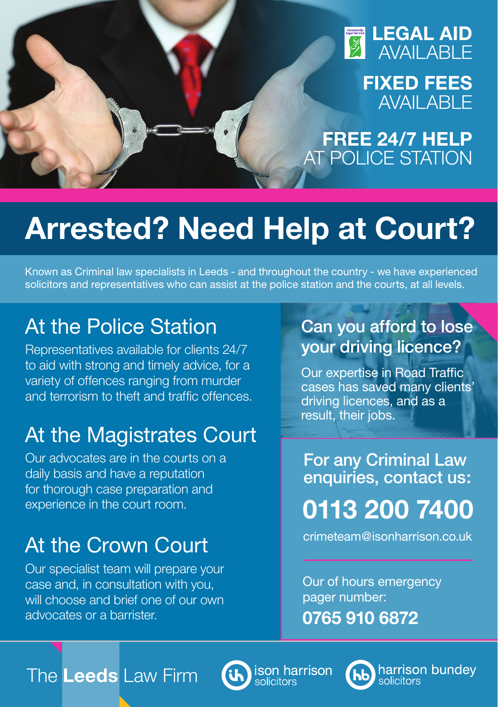

**FIXED FEES AVAILABLE** 

**FREE 24/7 HELP** AT POLICE STATION

# **Arrested? Need Help at Court?**

Known as Criminal law specialists in Leeds - and throughout the country - we have experienced solicitors and representatives who can assist at the police station and the courts, at all levels.

# At the Police Station

Representatives available for clients 24/7 to aid with strong and timely advice, for a variety of offences ranging from murder and terrorism to theft and traffic offences.

# At the Magistrates Court

Our advocates are in the courts on a daily basis and have a reputation for thorough case preparation and experience in the court room.

# At the Crown Court

Our specialist team will prepare your case and, in consultation with you, will choose and brief one of our own advocates or a barrister.

# Can you afford to lose your driving licence?

Our expertise in Road Traffic cases has saved many clients' driving licences, and as a result, their jobs.

**0113 200 7400** For any Criminal Law enquiries, contact us:

crimeteam@isonharrison.co.uk

Our of hours emergency pager number: **0765 910 6872**

The **Leeds** Law Firm



ison harrison



harrison bundev